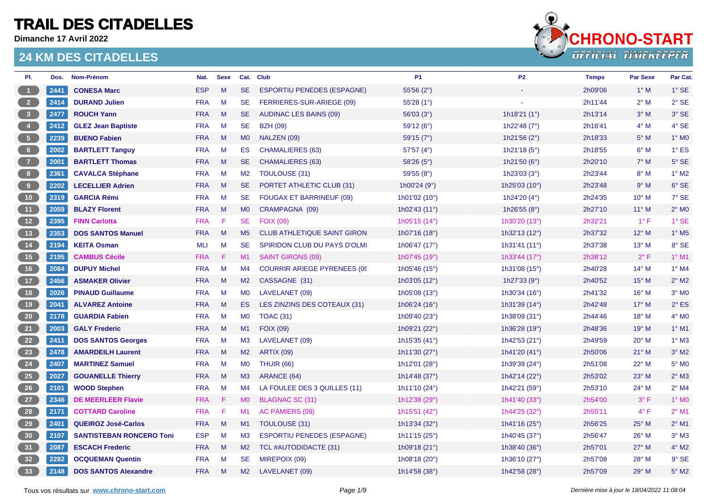**Dimanche 17 Avril 2022**



| PI.                                                         | Dos. | Nom-Prénom                      | Nat.       | <b>Sexe</b>  |                | Cat. Club                           | <b>P1</b>              | P <sub>2</sub>         | <b>Temps</b> | <b>Par Sexe</b> | Par Cat.                 |
|-------------------------------------------------------------|------|---------------------------------|------------|--------------|----------------|-------------------------------------|------------------------|------------------------|--------------|-----------------|--------------------------|
| $\sqrt{1}$                                                  | 2441 | <b>CONESA Marc</b>              | <b>ESP</b> | M            | <b>SE</b>      | <b>ESPORTIU PENEDES (ESPAGNE)</b>   | 55'56 $(2°)$           |                        | 2h09'06      | $1^\circ$ M     | $1^\circ$ SE             |
| $\begin{array}{ c c } \hline 2 \end{array}$                 | 2414 | <b>DURAND Julien</b>            | <b>FRA</b> | M            | <b>SE</b>      | FERRIERES-SUR-ARIEGE (09)           | 55'28 (1°)             |                        | 2h11'44      | $2^{\circ}$ M   | $2°$ SE                  |
| $\begin{array}{ c c } \hline 3 \\ \hline \end{array}$       | 2477 | <b>ROUCH Yann</b>               | <b>FRA</b> | M            | SE.            | <b>AUDINAC LES BAINS (09)</b>       | 56'03(3°)              | 1h18'21 $(1^{\circ})$  | 2h13'14      | $3^\circ$ M     | 3° SE                    |
| $\begin{pmatrix} 4 \end{pmatrix}$                           | 2412 | <b>GLEZ Jean Baptiste</b>       | <b>FRA</b> | M            | <b>SE</b>      | <b>BZH (09)</b>                     | 59'12 (6°)             | 1h22'48 $(7°)$         | 2h16'41      | $4^\circ$ M     | 4° SE                    |
| $\begin{array}{ c c }$                                      | 2239 | <b>BUENO Fabien</b>             | <b>FRA</b> | $M_{\odot}$  | M <sub>0</sub> | NALZEN (09)                         | 59'15 (7°)             | 1h21'56 $(2^{\circ})$  | 2h18'33      | $5^\circ$ M     | $1^\circ$ MO             |
| 6 <sub>6</sub>                                              | 2002 | <b>BARTLETT Tanguy</b>          | <b>FRA</b> | M            | <b>ES</b>      | <b>CHAMALIERES (63)</b>             | 57'57 (4°)             | 1h21'18 (5°)           | 2h18'55      | $6^\circ$ M     | $1^\circ$ ES             |
| $\overline{z}$                                              | 2001 | <b>BARTLETT Thomas</b>          | <b>FRA</b> | M            | <b>SE</b>      | <b>CHAMALIERES (63)</b>             | 58'26 (5°)             | 1h21'50 $(6^{\circ})$  | 2h20'10      | $7^\circ$ M     | $5^\circ$ SE             |
| 8 <sup>1</sup>                                              | 2361 | <b>CAVALCA Stéphane</b>         | <b>FRA</b> | M            | M2             | <b>TOULOUSE (31)</b>                | 59'55 (8°)             | 1h23'03 (3°)           | 2h23'44      | $8^\circ$ M     | $1°$ M2                  |
| $\begin{array}{c} \bullet \\ \bullet \end{array}$           | 2202 | <b>LECELLIER Adrien</b>         | <b>FRA</b> | M            | SE.            | PORTET ATHLETIC CLUB (31)           | 1h00'24 $(9°)$         | 1h25'03 (10°)          | 2h23'48      | 9° M            | 6° SE                    |
| 10                                                          | 2319 | <b>GARCIA Rémi</b>              | <b>FRA</b> | M            | <b>SE</b>      | <b>FOUGAX ET BARRINEUF (09)</b>     | 1h01'02 (10°)          | 1h24'20 $(4^{\circ})$  | 2h24'35      | $10^{\circ}$ M  | 7° SE                    |
| (11)                                                        | 2059 | <b>BLAZY Florent</b>            | <b>FRA</b> | M            | M <sub>0</sub> | CRAMPAGNA (09)                      | 1h02'43 (11°)          | 1h26'55 $(8^{\circ})$  | 2h27'10      | $11^{\circ}$ M  | $2^{\circ}$ MO           |
| 12                                                          | 2395 | <b>FINN Carlotta</b>            | <b>FRA</b> | $\mathsf{F}$ | <b>SE</b>      | <b>FOIX (09)</b>                    | 1h05'15 (14°)          | 1h30'20 (13°)          | 2h32'21      | $1^{\circ}$ F   | 1° SE                    |
| 13                                                          | 2353 | <b>DOS SANTOS Manuel</b>        | <b>FRA</b> | M            | M <sub>5</sub> | <b>CLUB ATHLETIQUE SAINT GIRON</b>  | 1h07'16 (18°)          | 1h32'13 (12°)          | 2h37'32      | $12^{\circ}$ M  | $1^\circ$ M <sub>5</sub> |
| 14                                                          | 2194 | <b>KEITA Osman</b>              | MLI        | M            | SE.            | SPIRIDON CLUB DU PAYS D'OLMI        | 1h06'47 (17°)          | 1h31'41 (11°)          | 2h37'38      | $13^{\circ}$ M  | 8° SE                    |
| $\begin{array}{c} \begin{array}{c} \end{array} \end{array}$ | 2195 | <b>CAMBUS Cécile</b>            | <b>FRA</b> | -F           | M1             | <b>SAINT GIRONS (09)</b>            | 1h07'45 (19°)          | 1h33'44 (17°)          | 2h38'12      | $2^{\circ}$ F   | $1°$ M1                  |
| 16                                                          | 2084 | <b>DUPUY Michel</b>             | <b>FRA</b> | M            | M4             | <b>COURRIR ARIEGE PYRENEES (09)</b> | 1h05'46 (15°)          | 1h31'08 (15°)          | 2h40'28      | $14^{\circ}$ M  | 1° M4                    |
| $\overline{17}$                                             | 2456 | <b>ASMAKER Olivier</b>          | <b>FRA</b> | M            | M2             | CASSAGNE (31)                       | 1h03'05 (12°)          | 1h27'33 $(9°)$         | 2h40'52      | $15^{\circ}$ M  | $2^{\circ}$ M2           |
| 18                                                          | 2026 | <b>PINAUD Guillaume</b>         | <b>FRA</b> | M            | M <sub>0</sub> | LAVELANET (09)                      | 1h05'08 (13°)          | 1h30'34 (16°)          | 2h41'32      | $16^{\circ}$ M  | $3°$ MO                  |
| 19                                                          | 2041 | <b>ALVAREZ Antoine</b>          | <b>FRA</b> | M            | ES.            | LES ZINZINS DES COTEAUX (31)        | 1h06'24 $(16^{\circ})$ | 1h31'39 $(14^{\circ})$ | 2h42'48      | $17^\circ$ M    | $2^{\circ}$ ES           |
| 20                                                          | 2178 | <b>GUARDIA Fabien</b>           | <b>FRA</b> | $M_{\odot}$  | M0             | <b>TOAC (31)</b>                    | 1h09'40 (23°)          | 1h38'09 (31°)          | 2h44'46      | $18^{\circ}$ M  | $4^{\circ}$ MO           |
| $\begin{bmatrix} 21 \end{bmatrix}$                          | 2003 | <b>GALY Frederic</b>            | <b>FRA</b> | M            | M1             | <b>FOIX (09)</b>                    | 1h09'21 (22°)          | 1h36'28 (19°)          | 2h48'36      | $19°$ M         | $1°$ M1                  |
| 22                                                          | 2411 | <b>DOS SANTOS Georges</b>       | <b>FRA</b> | M            | M3             | LAVELANET (09)                      | 1h15'35 (41°)          | 1h42'53 (21°)          | 2h49'59      | $20^{\circ}$ M  | $1^\circ$ M3             |
| 23                                                          | 2478 | <b>AMARDEILH Laurent</b>        | <b>FRA</b> | M            | M2             | <b>ARTIX (09)</b>                   | 1h11'30 (27°)          | 1h41'20 (41°)          | 2h50'06      | $21^{\circ}$ M  | $3°$ M2                  |
| 24                                                          | 2407 | <b>MARTINEZ Samuel</b>          | <b>FRA</b> | M            | <b>MO</b>      | <b>THUIR (66)</b>                   | 1h12'01 (28°)          | 1h39'39 (24°)          | 2h51'08      | 22° M           | 5° M <sub>0</sub>        |
| 25                                                          | 2027 | <b>GOUANELLE Thierry</b>        | <b>FRA</b> | $M_{\odot}$  | M3             | ARANCE (64)                         | 1h14'48 (37°)          | 1h42'14 (22°)          | 2h53'02      | 23° M           | $2°$ M3                  |
| $\overline{26}$                                             | 2101 | <b>WOOD Stephen</b>             | <b>FRA</b> | M            | M4             | LA FOULEE DES 3 QUILLES (11)        | 1h11'10 (24°)          | 1h42'21 (59°)          | 2h53'10      | 24° M           | $2°$ M4                  |
| 27                                                          | 2346 | <b>DE MEERLEER Flavie</b>       | <b>FRA</b> | -F           | M <sub>0</sub> | BLAGNAC SC (31)                     | 1h12'38 (29°)          | 1h41'40 (33°)          | 2h54'00      | $3^{\circ}$ F   | $1^\circ$ MO             |
| 28                                                          | 2171 | <b>COTTARD Caroline</b>         | <b>FRA</b> | F            | M <sub>1</sub> | AC PAMIERS (09)                     | 1h15'51 (42°)          | 1h44'25 (32°)          | 2h55'11      | $4^{\circ}$ F   | $2^{\circ}$ M1           |
| 29                                                          | 2401 | <b>QUEIROZ José-Carlos</b>      | <b>FRA</b> | M            | M1             | TOULOUSE (31)                       | 1h13'34 (32°)          | 1h41'16 (25°)          | 2h56'25      | 25° M           | $2^{\circ}$ M1           |
| 30                                                          | 2107 | <b>SANTISTEBAN RONCERO Toni</b> | <b>ESP</b> | M            | M3             | <b>ESPORTIU PENEDES (ESPAGNE)</b>   | 1h11'15 $(25^{\circ})$ | 1h40'45 (37°)          | 2h56'47      | $26^{\circ}$ M  | $3°$ M3                  |
| 31                                                          | 2087 | <b>ESCACH Frederic</b>          | <b>FRA</b> | M            | M2             | TCL #AUTODIDACTE (31)               | 1h09'18 (21°)          | 1h38'40 (36°)          | 2h57'01      | $27^\circ$ M    | $4^\circ$ M2             |
| 32                                                          | 2282 | <b>OCQUEMAN Quentin</b>         | <b>FRA</b> | M            | <b>SE</b>      | MIREPOIX (09)                       | 1h08'18 (20°)          | 1h36'10 (27°)          | 2h57'08      | $28^\circ$ M    | $9°$ SE                  |
| 33                                                          | 2148 | <b>DOS SANTOS Alexandre</b>     | <b>FRA</b> | M            | M2             | LAVELANET (09)                      | 1h14'58 (38°)          | 1h42'58 (28°)          | 2h57'09      | 29° M           | $5^\circ$ M2             |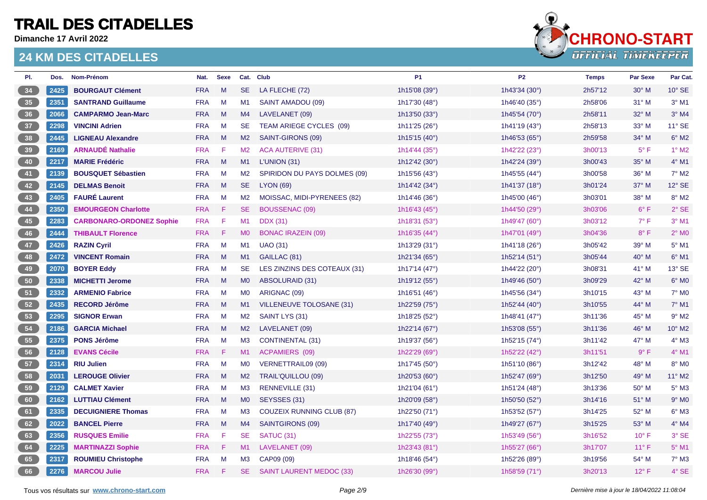**Dimanche 17 Avril 2022**



| PI. | Dos. | Nom-Prénom                      | Nat.       | <b>Sexe</b> |                | Cat. Club                        | <b>P1</b>                | <b>P2</b>                | <b>Temps</b> | <b>Par Sexe</b> | Par Cat.                 |
|-----|------|---------------------------------|------------|-------------|----------------|----------------------------------|--------------------------|--------------------------|--------------|-----------------|--------------------------|
| 34  | 2425 | <b>BOURGAUT Clément</b>         | <b>FRA</b> | M           | SE.            | LA FLECHE (72)                   | 1h15'08 (39°)            | 1h43'34 (30°)            | 2h57'12      | $30^\circ$ M    | $10^{\circ}$ SE          |
| 35  | 2351 | <b>SANTRAND Guillaume</b>       | <b>FRA</b> | M           | M1             | SAINT AMADOU (09)                | 1h17'30 (48°)            | 1h46'40 (35°)            | 2h58'06      | $31^\circ$ M    | $3°$ M1                  |
| 36  | 2066 | <b>CAMPARMO Jean-Marc</b>       | <b>FRA</b> | M           | M4             | LAVELANET (09)                   | 1h13'50 $(33°)$          | 1h45'54 $(70^{\circ})$   | 2h58'11      | 32° M           | $3°$ M4                  |
| 37  | 2298 | <b>VINCINI Adrien</b>           | <b>FRA</b> | M           | SE.            | TEAM ARIEGE CYCLES (09)          | 1h11'25 (26°)            | 1h41'19 (43°)            | 2h58'13      | $33^\circ$ M    | $11^\circ$ SE            |
| 38  | 2445 | <b>LIGNEAU Alexandre</b>        | <b>FRA</b> | M           | M2             | SAINT-GIRONS (09)                | 1h15'15 (40°)            | 1h46'53 (65°)            | 2h59'58      | $34^\circ$ M    | $6^\circ$ M2             |
| 39  | 2169 | <b>ARNAUDÉ Nathalie</b>         | <b>FRA</b> | F           | M <sub>2</sub> | <b>ACA AUTERIVE (31)</b>         | 1h14'44 (35°)            | 1h42'22 (23°)            | 3h00'13      | $5^{\circ}$ F   | $1^\circ$ M2             |
| 40  | 2217 | <b>MARIE Frédéric</b>           | <b>FRA</b> | M           | M1             | L'UNION(31)                      | 1h12'42 (30°)            | 1h42'24 (39°)            | 3h00'43      | $35^\circ$ M    | $4^{\circ}$ M1           |
| 41  | 2139 | <b>BOUSQUET Sébastien</b>       | <b>FRA</b> | M           | M2             | SPIRIDON DU PAYS DOLMES (09)     | 1h15'56 (43°)            | 1h45'55 (44°)            | 3h00'58      | $36^{\circ}$ M  | 7° M2                    |
| 42  | 2145 | <b>DELMAS Benoit</b>            | <b>FRA</b> | M           | SE.            | <b>LYON (69)</b>                 | 1h14'42 (34°)            | 1h41'37 (18°)            | 3h01'24      | $37^\circ$ M    | $12^{\circ}$ SE          |
| 43  | 2405 | <b>FAURÉ Laurent</b>            | <b>FRA</b> | M           | M2             | MOISSAC, MIDI-PYRENEES (82)      | 1h14'46 $(36^{\circ})$   | 1h45'00 (46°)            | 3h03'01      | $38^\circ$ M    | 8° M2                    |
| 44  | 2350 | <b>EMOURGEON Charlotte</b>      | <b>FRA</b> | -F.         | SE.            | BOUSSENAC (09)                   | 1h16'43 $(45^{\circ})$   | 1h44'50 (29°)            | 3h03'06      | $6^{\circ}$ F   | $2°$ SE                  |
| 45  | 2283 | <b>CARBONARO-ORDONEZ Sophie</b> | <b>FRA</b> | F           | M1             | <b>DDX</b> (31)                  | 1h18'31 (53°)            | 1h49'47 (60°)            | 3h03'12      | $7^\circ$ F     | $3°$ M1                  |
| 46  | 2444 | <b>THIBAULT Florence</b>        | <b>FRA</b> | -F.         | MO             | <b>BONAC IRAZEIN (09)</b>        | 1h16'35 (44°)            | 1h47'01 (49°)            | 3h04'36      | $8^{\circ}$ F   | $2^{\circ}$ MO           |
| 47  | 2426 | <b>RAZIN Cyril</b>              | <b>FRA</b> | M           | M1             | <b>UAO (31)</b>                  | 1h13'29 (31°)            | 1h41'18 $(26^{\circ})$   | 3h05'42      | 39° M           | 5° M1                    |
| 48  | 2472 | <b>VINCENT Romain</b>           | <b>FRA</b> | M           | M1             | GAILLAC (81)                     | 1h21'34 (65°)            | 1h52'14 (51°)            | 3h05'44      | $40^{\circ}$ M  | $6^\circ$ M1             |
| 49  | 2070 | <b>BOYER Eddy</b>               | <b>FRA</b> | M           | <b>SE</b>      | LES ZINZINS DES COTEAUX (31)     | 1h17'14 $(47°)$          | 1h44'22 (20°)            | 3h08'31      | $41^{\circ}$ M  | 13° SE                   |
| 50  | 2338 | <b>MICHETTI Jerome</b>          | <b>FRA</b> | M           | <b>MO</b>      | <b>ABSOLURAID (31)</b>           | 1h19'12 (55°)            | 1h49'46 (50°)            | 3h09'29      | 42° M           | $6^{\circ}$ MO           |
| 51  | 2332 | <b>ARMENIO Fabrice</b>          | <b>FRA</b> | M           | <b>MO</b>      | ARIGNAC (09)                     | 1h16'51 (46°)            | 1h45'56 (34°)            | 3h10'15      | $43^\circ$ M    | $7^\circ$ M <sub>0</sub> |
| 52  | 2435 | <b>RECORD Jérôme</b>            | <b>FRA</b> | M           | M1             | VILLENEUVE TOLOSANE (31)         | 1h22'59 $(75^{\circ})$   | 1h52'44 $(40^{\circ})$   | 3h10'55      | $44^{\circ}$ M  | $7^\circ$ M1             |
| 53  | 2295 | <b>SIGNOR Erwan</b>             | <b>FRA</b> | M           | M2             | SAINT LYS (31)                   | 1h18'25 (52°)            | 1h48'41 (47°)            | 3h11'36      | $45^{\circ}$ M  | $9°$ M2                  |
| 54  | 2186 | <b>GARCIA Michael</b>           | <b>FRA</b> | M           | M2             | LAVELANET (09)                   | 1h22'14 (67°)            | 1h53'08 (55°)            | 3h11'36      | 46° M           | 10° M2                   |
| 55  | 2375 | <b>PONS Jérôme</b>              | <b>FRA</b> | M           | M <sub>3</sub> | <b>CONTINENTAL (31)</b>          | 1h19'37 (56°)            | 1h52'15 (74°)            | 3h11'42      | 47° M           | $4^\circ$ M3             |
| 56  | 2128 | <b>EVANS Cécile</b>             | <b>FRA</b> | -F.         | M1             | <b>ACPAMIERS (09)</b>            | 1h22'29 (69°)            | 1h52'22 (42°)            | 3h11'51      | $9^{\circ}$ F   | $4^{\circ}$ M1           |
| 57  | 2314 | <b>RIU Julien</b>               | <b>FRA</b> | M           | <b>MO</b>      | VERNETTRAIL09 (09)               | 1h17'45 (50°)            | 1h51'10 (86°)            | 3h12'42      | 48° M           | 8° MO                    |
| 58  | 2031 | <b>LEROUGE Olivier</b>          | <b>FRA</b> | M           | M2             | TRAIL'QUILLOU (09)               | 1h20'53 (60 $^{\circ}$ ) | 1h52'47 (69 $^{\circ}$ ) | 3h12'50      | 49° M           | 11° M2                   |
| 59  | 2129 | <b>CALMET Xavier</b>            | <b>FRA</b> | M           | M3             | RENNEVILLE (31)                  | 1h21'04 (61 $^{\circ}$ ) | 1h51'24 (48°)            | 3h13'36      | 50° M           | $5^\circ$ M3             |
| 60  | 2162 | <b>LUTTIAU Clément</b>          | <b>FRA</b> | M           | M <sub>0</sub> | SEYSSES (31)                     | 1h20'09 (58°)            | 1h50'50 (52°)            | 3h14'16      | $51^\circ$ M    | $9°$ MO                  |
| 61  | 2335 | <b>DECUIGNIERE Thomas</b>       | <b>FRA</b> | M           | M3             | <b>COUZEIX RUNNING CLUB (87)</b> | 1h22'50 (71°)            | 1h53'52 (57°)            | 3h14'25      | 52° M           | $6^\circ$ M3             |
| 62  | 2022 | <b>BANCEL Pierre</b>            | <b>FRA</b> | M           | M4             | SAINTGIRONS (09)                 | 1h17'40 (49°)            | 1h49'27 (67°)            | 3h15'25      | $53^\circ$ M    | $4^\circ$ M4             |
| 63  | 2356 | <b>RUSQUES Emilie</b>           | <b>FRA</b> | F.          | <b>SE</b>      | SATUC (31)                       | 1h22'55 (73°)            | 1h53'49 (56°)            | 3h16'52      | $10^{\circ}$ F  | 3° SE                    |
| 64  | 2225 | <b>MARTINAZZI Sophie</b>        | <b>FRA</b> | -F.         | M1             | LAVELANET (09)                   | 1h23'43 (81°)            | 1h55'27 (66°)            | 3h17'07      | $11^{\circ}$ F  | 5° M1                    |
| 65  | 2317 | <b>ROUMIEU Christophe</b>       | <b>FRA</b> | M           | M <sub>3</sub> | CAP09 (09)                       | 1h18'46 (54°)            | 1h52'26 (89°)            | 3h19'56      | 54° M           | $7°$ M3                  |
| 66  | 2276 | <b>MARCOU Julie</b>             | <b>FRA</b> | -F.         | SE.            | <b>SAINT LAURENT MEDOC (33)</b>  | 1h26'30 (99°)            | 1h58'59 (71°)            | 3h20'13      | $12^{\circ}$ F  | $4°$ SE                  |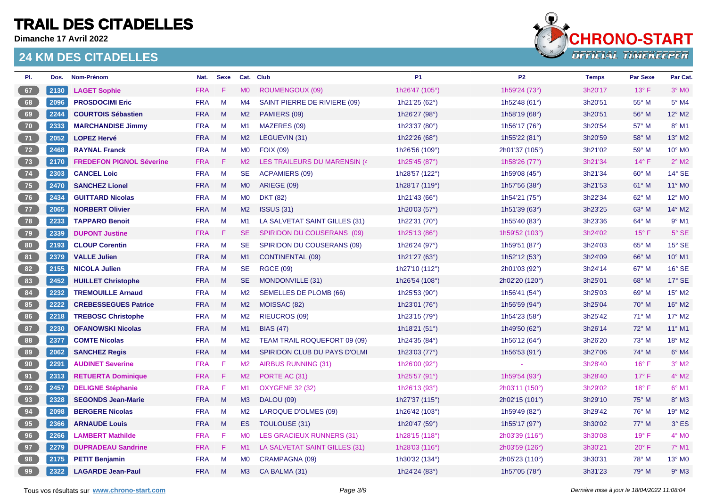**Dimanche 17 Avril 2022**



| PI.          | Dos. | Nom-Prénom                      | Nat.       | <b>Sexe</b>  |                | Cat. Club                     | <b>P1</b>        | <b>P2</b>                | <b>Temps</b> | <b>Par Sexe</b> | Par Cat.            |
|--------------|------|---------------------------------|------------|--------------|----------------|-------------------------------|------------------|--------------------------|--------------|-----------------|---------------------|
| 67           | 2130 | <b>LAGET Sophie</b>             | <b>FRA</b> | F            | M <sub>0</sub> | <b>ROUMENGOUX (09)</b>        | 1h26'47 (105°)   | 1h59'24 (73°)            | 3h20'17      | $13^{\circ}$ F  | $3°$ MO             |
| 68           | 2096 | <b>PROSDOCIMI Eric</b>          | <b>FRA</b> | M            | M4             | SAINT PIERRE DE RIVIERE (09)  | 1h21'25 (62°)    | 1h52'48 (61 $^{\circ}$ ) | 3h20'51      | $55^{\circ}$ M  | $5^\circ$ M4        |
| 69           | 2244 | <b>COURTOIS Sébastien</b>       | <b>FRA</b> | M            | M <sub>2</sub> | PAMIERS (09)                  | 1h26'27 (98°)    | 1h58'19 $(68°)$          | 3h20'51      | 56° M           | 12° M2              |
| $70^{\circ}$ | 2333 | <b>MARCHANDISE Jimmy</b>        | <b>FRA</b> | M            | M1             | MAZERES (09)                  | 1h23'37 (80°)    | 1h56'17 (76°)            | 3h20'54      | 57° M           | 8° M1               |
| 71           | 2052 | <b>LOPEZ Hervé</b>              | <b>FRA</b> | M            | M <sub>2</sub> | LEGUEVIN (31)                 | 1h22'26 (68°)    | 1h55'22 (81°)            | 3h20'59      | $58^{\circ}$ M  | 13° M2              |
| $72$         | 2468 | <b>RAYNAL Franck</b>            | <b>FRA</b> | M            | M <sub>0</sub> | <b>FOIX (09)</b>              | 1h26'56 (109°)   | 2h01'37 (105°)           | 3h21'02      | 59° M           | 10° MO              |
| 73           | 2170 | <b>FREDEFON PIGNOL Séverine</b> | <b>FRA</b> | -F           | M2             | LES TRAILEURS DU MARENSIN (4  | 1h25'45 (87°)    | 1h58'26 (77°)            | 3h21'34      | $14^{\circ}$ F  | $2^{\circ}$ M2      |
| 74           | 2303 | <b>CANCEL Loic</b>              | <b>FRA</b> | M            | <b>SE</b>      | ACPAMIERS (09)                | 1h28'57 (122°)   | 1h59'08 (45°)            | 3h21'34      | $60^\circ$ M    | $14^{\circ}$ SE     |
| 75           | 2470 | <b>SANCHEZ Lionel</b>           | <b>FRA</b> | M            | M <sub>0</sub> | ARIEGE (09)                   | 1h28'17 (119°)   | 1h57'56 (38°)            | 3h21'53      | 61° M           | 11° M0              |
| 76           | 2434 | <b>GUITTARD Nicolas</b>         | <b>FRA</b> | M            | <b>MO</b>      | <b>DKT (82)</b>               | 1h21'43 (66°)    | 1h54'21 (75°)            | 3h22'34      | 62° M           | 12° MO              |
| 77           | 2065 | <b>NORBERT Olivier</b>          | <b>FRA</b> | M            | M <sub>2</sub> | <b>ISSUS (31)</b>             | 1h20'03 (57°)    | 1h51'39 $(63°)$          | 3h23'25      | 63° M           | 14° M2              |
| $78$         | 2233 | <b>TAPPARO Benoit</b>           | <b>FRA</b> | M            | M1             | LA SALVETAT SAINT GILLES (31) | 1h22'31 (70°)    | 1h55'40 (83°)            | 3h23'36      | $64^{\circ}$ M  | $9°$ M1             |
| 79           | 2339 | <b>DUPONT Justine</b>           | <b>FRA</b> | -F           | SE.            | SPIRIDON DU COUSERANS (09)    | 1h25'13 (86°)    | 1h59'52 (103°)           | 3h24'02      | $15^{\circ}$ F  | $5^\circ$ SE        |
| 80           | 2193 | <b>CLOUP Corentin</b>           | <b>FRA</b> | M            | <b>SE</b>      | SPIRIDON DU COUSERANS (09)    | 1h26'24 (97°)    | 1h59'51 (87°)            | 3h24'03      | $65^{\circ}$ M  | 15° SE              |
| 81           | 2379 | <b>VALLE Julien</b>             | <b>FRA</b> | M            | M1             | <b>CONTINENTAL (09)</b>       | 1h21'27 (63°)    | 1h52'12 (53°)            | 3h24'09      | 66° M           | 10° M1              |
| 82           | 2155 | <b>NICOLA Julien</b>            | <b>FRA</b> | M            | <b>SE</b>      | <b>RGCE (09)</b>              | 1h27'10 (112°)   | 2h01'03 (92°)            | 3h24'14      | $67^\circ$ M    | 16° SE              |
| 83           | 2452 | <b>HUILLET Christophe</b>       | <b>FRA</b> | M            | <b>SE</b>      | MONDONVILLE (31)              | 1h26'54 (108°)   | 2h02'20 (120°)           | 3h25'01      | 68° M           | 17° SE              |
| 84           | 2232 | <b>TREMOUILLE Arnaud</b>        | <b>FRA</b> | M            | M <sub>2</sub> | <b>SEMELLES DE PLOMB (66)</b> | 1h25'53 (90°)    | 1h56'41 $(54^{\circ})$   | 3h25'03      | 69° M           | 15° M2              |
| 85           | 2222 | <b>CREBESSEGUES Patrice</b>     | <b>FRA</b> | M            | M <sub>2</sub> | MOISSAC (82)                  | 1h23'01 (76°)    | 1h56'59 (94°)            | 3h25'04      | $70^\circ$ M    | 16° M2              |
| 86           | 2218 | <b>TREBOSC Christophe</b>       | <b>FRA</b> | M            | M <sub>2</sub> | <b>RIEUCROS (09)</b>          | 1h23'15 (79°)    | 1h54'23 (58°)            | 3h25'42      | $71^\circ$ M    | 17° M2              |
| 87           | 2230 | <b>OFANOWSKI Nicolas</b>        | <b>FRA</b> | M            | M1             | <b>BIAS (47)</b>              | 1h18'21 (51°)    | 1h49'50 (62°)            | 3h26'14      | $72^{\circ}$ M  | $11^{\circ}$ M1     |
| 88           | 2377 | <b>COMTE Nicolas</b>            | <b>FRA</b> | M            | M <sub>2</sub> | TEAM TRAIL ROQUEFORT 09 (09)  | 1h24'35 (84°)    | 1h56'12 $(64^{\circ})$   | 3h26'20      | $73^\circ$ M    | 18° M2              |
| 89           | 2062 | <b>SANCHEZ Regis</b>            | <b>FRA</b> | M            | M4             | SPIRIDON CLUB DU PAYS D'OLMI  | 1h23'03 (77°)    | 1h56'53 (91°)            | 3h27'06      | 74° M           | $6^\circ$ M4        |
| 90           | 2291 | <b>AUDINET Severine</b>         | <b>FRA</b> | -F           | M <sub>2</sub> | <b>AIRBUS RUNNING (31)</b>    | 1h26'00 (92°)    |                          | 3h28'40      | $16^{\circ}$ F  | $3°$ M <sub>2</sub> |
| 91           | 2313 | <b>RETUERTA Dominique</b>       | <b>FRA</b> | $\mathsf{F}$ | M2             | PORTE AC (31)                 | 1h25'57 (91°)    | 1h59'54 (93°)            | 3h28'40      | $17^{\circ}$ F  | $4^{\circ}$ M2      |
| 92           | 2457 | <b>DELIGNE Stéphanie</b>        | <b>FRA</b> | -F           | M1             | <b>OXYGENE 32 (32)</b>        | 1h26'13 (93°)    | 2h03'11 (150°)           | 3h29'02      | $18^{\circ}$ F  | $6°$ M1             |
| 93           | 2328 | <b>SEGONDS Jean-Marie</b>       | <b>FRA</b> | M            | M3             | DALOU (09)                    | 1h27'37 (115°)   | 2h02'15 (101°)           | 3h29'10      | $75^\circ$ M    | $8^\circ$ M3        |
| 94           | 2098 | <b>BERGERE Nicolas</b>          | <b>FRA</b> | M            | M <sub>2</sub> | LAROQUE D'OLMES (09)          | 1h26'42 (103°)   | 1h59'49 (82°)            | 3h29'42      | $76^{\circ}$ M  | 19° M2              |
| 95           | 2366 | <b>ARNAUDE Louis</b>            | <b>FRA</b> | M            | ES.            | TOULOUSE (31)                 | 1h20'47 (59°)    | 1h55'17 (97°)            | 3h30'02      | $77^\circ$ M    | $3°$ ES             |
| 96           | 2266 | <b>LAMBERT Mathilde</b>         | <b>FRA</b> | -F           | <b>MO</b>      | LES GRACIEUX RUNNERS (31)     | 1h28'15 (118°)   | 2h03'39 (116°)           | 3h30'08      | $19^{\circ}$ F  | $4^\circ$ MO        |
| 97           | 2279 | <b>DUPRADEAU Sandrine</b>       | <b>FRA</b> | - F          | M1             | LA SALVETAT SAINT GILLES (31) | 1h28'03 $(116°)$ | 2h03'59 (126°)           | 3h30'21      | $20^{\circ}$ F  | $7°$ M1             |
| 98           | 2175 | <b>PETIT Benjamin</b>           | <b>FRA</b> | M            | <b>MO</b>      | CRAMPAGNA (09)                | 1h30'32 (134°)   | 2h05'23 (110°)           | 3h30'31      | 78° M           | 13° MO              |
| 99           | 2322 | <b>LAGARDE Jean-Paul</b>        | <b>FRA</b> | M            | M3             | CA BALMA (31)                 | 1h24'24 (83°)    | 1h57'05 (78°)            | 3h31'23      | 79° M           | $9°$ M3             |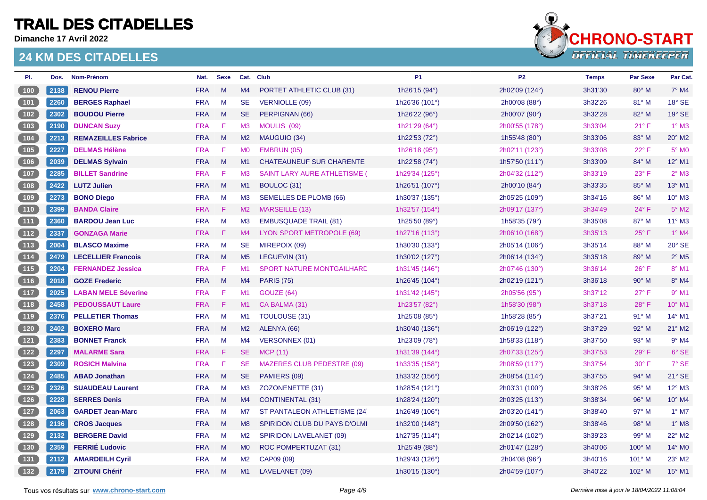**Dimanche 17 Avril 2022**



| PI.                                                         | Dos. | Nom-Prénom                 | Nat.       | Sexe         |                | Cat. Club                           | <b>P1</b>               | P <sub>2</sub>   | <b>Temps</b> | <b>Par Sexe</b> | Par Cat.                   |
|-------------------------------------------------------------|------|----------------------------|------------|--------------|----------------|-------------------------------------|-------------------------|------------------|--------------|-----------------|----------------------------|
| $100$                                                       | 2138 | <b>RENOU Pierre</b>        | <b>FRA</b> | M            | M4             | PORTET ATHLETIC CLUB (31)           | 1h26'15 (94°)           | 2h02'09 (124°)   | 3h31'30      | $80^\circ$ M    | $7°$ M4                    |
| $\boxed{101}$                                               | 2260 | <b>BERGES Raphael</b>      | <b>FRA</b> | M            | SE             | <b>VERNIOLLE (09)</b>               | 1h26'36 (101°)          | 2h00'08 (88°)    | 3h32'26      | $81^\circ$ M    | 18° SE                     |
| 102                                                         | 2302 | <b>BOUDOU Pierre</b>       | <b>FRA</b> | M            | <b>SE</b>      | PERPIGNAN (66)                      | 1h26'22 (96°)           | 2h00'07 (90°)    | 3h32'28      | $82^\circ$ M    | 19° SE                     |
| $\boxed{103}$                                               | 2190 | <b>DUNCAN Suzy</b>         | <b>FRA</b> | F            | M <sub>3</sub> | MOULIS (09)                         | 1h21'29 (64°)           | 2h00'55 (178°)   | 3h33'04      | $21^{\circ}$ F  | $1^\circ$ M3               |
| $104$                                                       | 2213 | <b>REMAZEILLES Fabrice</b> | <b>FRA</b> | M            | M2             | MAUGUIO (34)                        | 1h22'53 (72°)           | 1h55'48 (80°)    | 3h33'06      | 83° M           | 20° M2                     |
| 105                                                         | 2227 | <b>DELMAS Hélène</b>       | <b>FRA</b> | F            | <b>MO</b>      | EMBRUN (05)                         | 1h26'18 (95°)           | 2h02'11 (123°)   | 3h33'08      | $22^{\circ}$ F  | $5^\circ$ MO               |
| 106                                                         | 2039 | <b>DELMAS Sylvain</b>      | <b>FRA</b> | M            | M1             | <b>CHATEAUNEUF SUR CHARENTE</b>     | 1h22'58 (74°)           | 1h57'50 $(111°)$ | 3h33'09      | $84^\circ$ M    | 12° M1                     |
| $107$                                                       | 2285 | <b>BILLET Sandrine</b>     | <b>FRA</b> | F            | M <sub>3</sub> | <b>SAINT LARY AURE ATHLETISME (</b> | 1h29'34 (125°)          | 2h04'32 (112°)   | 3h33'19      | $23^{\circ}$ F  | $2^{\circ}$ M3             |
| $\begin{array}{c} \begin{array}{c} \end{array} \end{array}$ | 2422 | <b>LUTZ Julien</b>         | <b>FRA</b> | M            | M1             | BOULOC (31)                         | 1h26'51 (107°)          | 2h00'10 (84°)    | 3h33'35      | 85° M           | 13° M1                     |
| $\begin{array}{c} \hline 109 \end{array}$                   | 2273 | <b>BONO Diego</b>          | <b>FRA</b> | M            | M <sub>3</sub> | <b>SEMELLES DE PLOMB (66)</b>       | 1h30'37 (135°)          | 2h05'25 (109°)   | 3h34'16      | 86° M           | 10° M3                     |
| 110                                                         | 2399 | <b>BANDA Claire</b>        | <b>FRA</b> | F            | M2             | MARSEILLE (13)                      | 1h32'57 (154°)          | 2h09'17 (137°)   | 3h34'49      | $24^{\circ}$ F  | $5^\circ$ M2               |
| $\boxed{111}$                                               | 2360 | <b>BARDOU Jean Luc</b>     | <b>FRA</b> | M            | M <sub>3</sub> | <b>EMBUSQUADE TRAIL (81)</b>        | 1h25'50 (89°)           | 1h58'35 (79°)    | 3h35'08      | 87° M           | 11° M3                     |
| 112                                                         | 2337 | <b>GONZAGA Marie</b>       | <b>FRA</b> | F            | M4             | LYON SPORT METROPOLE (69)           | 1h27'16 (113°)          | 2h06'10 (168°)   | 3h35'13      | $25^{\circ}$ F  | $1^\circ$ M4               |
| $\begin{array}{c} \boxed{113} \end{array}$                  | 2004 | <b>BLASCO Maxime</b>       | <b>FRA</b> | M            | <b>SE</b>      | MIREPOIX (09)                       | 1h30'30 (133°)          | 2h05'14 (106°)   | 3h35'14      | 88° M           | $20^\circ$ SE              |
| $\begin{array}{c} \boxed{114} \end{array}$                  | 2479 | <b>LECELLIER Francois</b>  | <b>FRA</b> | M            | M <sub>5</sub> | LEGUEVIN (31)                       | 1h30'02 (127°)          | 2h06'14 (134°)   | 3h35'18      | 89° M           | $2^{\circ}$ M <sub>5</sub> |
| $\boxed{115}$                                               | 2204 | <b>FERNANDEZ Jessica</b>   | <b>FRA</b> | F            | M1             | <b>SPORT NATURE MONTGAILHARD</b>    | 1h31'45 (146°)          | 2h07'46 (130°)   | 3h36'14      | $26^{\circ}$ F  | 8° M1                      |
| $\sqrt{116}$                                                | 2018 | <b>GOZE Frederic</b>       | <b>FRA</b> | M            | M4             | <b>PARIS (75)</b>                   | 1h26'45 (104°)          | 2h02'19 (121°)   | 3h36'18      | $90^\circ$ M    | $8^\circ$ M4               |
| (117)                                                       | 2025 | <b>LABAN MELE Séverine</b> | <b>FRA</b> | F            | M <sub>1</sub> | GOUZE (64)                          | 1h31'42 (145°)          | 2h05'56 (95°)    | 3h37'12      | $27^{\circ}$ F  | $9°$ M1                    |
| (118)                                                       | 2458 | <b>PEDOUSSAUT Laure</b>    | <b>FRA</b> | F            | M1             | CA BALMA (31)                       | 1h23'57 (82°)           | 1h58'30 (98°)    | 3h37'18      | 28°F            | 10° M1                     |
| (119)                                                       | 2376 | <b>PELLETIER Thomas</b>    | <b>FRA</b> | M            | M1             | TOULOUSE (31)                       | 1h25'08 (85°)           | 1h58'28 (85°)    | 3h37'21      | $91°$ M         | 14° M1                     |
| (120)                                                       | 2402 | <b>BOXERO Marc</b>         | <b>FRA</b> | M            | M2             | ALENYA (66)                         | 1h30'40 (136°)          | 2h06'19 (122°)   | 3h37'29      | 92° M           | 21° M2                     |
| $121$                                                       | 2383 | <b>BONNET Franck</b>       | <b>FRA</b> | M            | M4             | <b>VERSONNEX (01)</b>               | 1h23'09 (78°)           | 1h58'33 $(118°)$ | 3h37'50      | $93^\circ$ M    | $9°$ M4                    |
| $\begin{array}{c} \boxed{122} \end{array}$                  | 2297 | <b>MALARME Sara</b>        | <b>FRA</b> | F            | SE.            | <b>MCP (11)</b>                     | 1h31'39 (144°)          | 2h07'33 (125°)   | 3h37'53      | $29^\circ$ F    | 6° SE                      |
| 123                                                         | 2309 | <b>ROSICH Malvina</b>      | <b>FRA</b> | F            | <b>SE</b>      | <b>MAZERES CLUB PEDESTRE (09)</b>   | 1h33'35 (158°)          | 2h08'59 (117°)   | 3h37'54      | $30^\circ$ F    | 7° SE                      |
| $\boxed{124}$                                               | 2485 | <b>ABAD Jonathan</b>       | <b>FRA</b> | M            | <b>SE</b>      | PAMIERS (09)                        | 1h33'32 $(156^{\circ})$ | 2h08'54 (114°)   | 3h37'55      | $94^{\circ}$ M  | 21° SE                     |
| $125$                                                       | 2326 | <b>SUAUDEAU Laurent</b>    | <b>FRA</b> | M            | M3             | ZOZONENETTE (31)                    | 1h28'54 (121°)          | 2h03'31 (100°)   | 3h38'26      | 95° M           | 12° M3                     |
| (126)                                                       | 2228 | <b>SERRES Denis</b>        | <b>FRA</b> | M            | M4             | <b>CONTINENTAL (31)</b>             | 1h28'24 (120°)          | 2h03'25 (113°)   | 3h38'34      | $96^\circ$ M    | 10° M4                     |
| 127                                                         | 2063 | <b>GARDET Jean-Marc</b>    | <b>FRA</b> | M            | M7             | ST PANTALEON ATHLETISME (24)        | 1h26'49 (106°)          | 2h03'20 (141°)   | 3h38'40      | $97^\circ$ M    | $1^\circ$ M7               |
| $\sqrt{128}$                                                | 2136 | <b>CROS Jacques</b>        | <b>FRA</b> | M            | M8             | SPIRIDON CLUB DU PAYS D'OLMI        | 1h32'00 (148°)          | 2h09'50 (162°)   | 3h38'46      | $98^\circ$ M    | $1^\circ$ M8               |
| 129                                                         | 2132 | <b>BERGERE David</b>       | <b>FRA</b> | M            | M2             | <b>SPIRIDON LAVELANET (09)</b>      | 1h27'35 (114°)          | 2h02'14 (102°)   | 3h39'23      | 99° M           | 22° M2                     |
| (130)                                                       | 2359 | <b>FERRIE Ludovic</b>      | <b>FRA</b> | $\mathsf{M}$ | M <sub>0</sub> | ROC POMPERTUZAT (31)                | 1h25'49 (88°)           | 2h01'47 (128°)   | 3h40'06      | $100^\circ$ M   | 14° M0                     |
| $\begin{array}{c} \n \textbf{131} \\ \end{array}$           | 2112 | <b>AMARDEILH Cyril</b>     | <b>FRA</b> | M            | M2             | CAP09 (09)                          | 1h29'43 (126°)          | 2h04'08 (96°)    | 3h40'16      | $101^\circ$ M   | 23° M2                     |
| (132)                                                       | 2179 | <b>ZITOUNI Chérif</b>      | <b>FRA</b> | M            | M1             | LAVELANET (09)                      | 1h30'15 (130°)          | 2h04'59 (107°)   | 3h40'22      | 102° M          | 15° M1                     |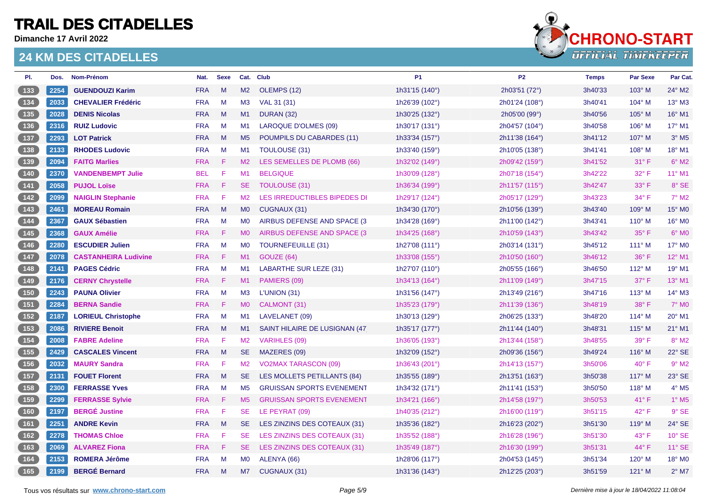**Dimanche 17 Avril 2022**



| PI.                                                | Dos. | Nom-Prénom                  | Nat.       | <b>Sexe</b> |                | Cat. Club                        | <b>P1</b>               | P <sub>2</sub> | <b>Temps</b> | <b>Par Sexe</b> | Par Cat.                 |
|----------------------------------------------------|------|-----------------------------|------------|-------------|----------------|----------------------------------|-------------------------|----------------|--------------|-----------------|--------------------------|
| $133$                                              | 2254 | <b>GUENDOUZI Karim</b>      | <b>FRA</b> | M           | M2             | OLEMPS (12)                      | 1h31'15 (140°)          | 2h03'51 (72°)  | 3h40'33      | 103° M          | 24° M2                   |
|                                                    | 2033 | <b>CHEVALIER Frédéric</b>   | <b>FRA</b> | M           | M3             | VAL 31 (31)                      | 1h26'39 (102°)          | 2h01'24 (108°) | 3h40'41      | 104° M          | 13° M3                   |
| (135)                                              | 2028 | <b>DENIS Nicolas</b>        | <b>FRA</b> | M           | M1             | <b>DURAN (32)</b>                | 1h30'25 (132°)          | 2h05'00 (99°)  | 3h40'56      | $105^\circ$ M   | 16° M1                   |
| $136$                                              | 2316 | <b>RUIZ Ludovic</b>         | <b>FRA</b> | M           | M1             | <b>LAROQUE D'OLMES (09)</b>      | 1h30'17 (131°)          | 2h04'57 (104°) | 3h40'58      | $106^\circ$ M   | 17° M1                   |
| 137                                                | 2293 | <b>LOT Patrick</b>          | <b>FRA</b> | M           | M <sub>5</sub> | POUMPILS DU CABARDES (11)        | 1h33'34 (157°)          | 2h11'38 (164°) | 3h41'12      | 107° M          | $3°$ M <sub>5</sub>      |
| $\boxed{138}$                                      | 2133 | <b>RHODES Ludovic</b>       | <b>FRA</b> | M           | M <sub>1</sub> | TOULOUSE (31)                    | 1h33'40 (159°)          | 2h10'05 (138°) | 3h41'41      | 108° M          | 18° M1                   |
| $\begin{bmatrix} 139 \end{bmatrix}$                | 2094 | <b>FAITG Marlies</b>        | <b>FRA</b> | F.          | M2             | LES SEMELLES DE PLOMB (66)       | 1h32'02 (149°)          | 2h09'42 (159°) | 3h41'52      | $31^{\circ}$ F  | $6^\circ$ M2             |
|                                                    | 2370 | <b>VANDENBEMPT Julie</b>    | <b>BEL</b> | F           | M1             | <b>BELGIQUE</b>                  | 1h30'09 (128°)          | 2h07'18 (154°) | 3h42'22      | 32° F           | 11° M1                   |
| (141)                                              | 2058 | <b>PUJOL Loïse</b>          | <b>FRA</b> | F           | <b>SE</b>      | TOULOUSE (31)                    | 1h36'34 (199°)          | 2h11'57 (115°) | 3h42'47      | $33^\circ$ F    | 8° SE                    |
| $\boxed{142}$                                      | 2099 | <b>NAIGLIN Stephanie</b>    | <b>FRA</b> | F           | M2             | LES IRREDUCTIBLES BIPEDES DI     | 1h29'17 (124°)          | 2h05'17 (129°) | 3h43'23      | $34^{\circ}$ F  | $7°$ M2                  |
| $\begin{array}{c} \boxed{143} \end{array}$         | 2461 | <b>MOREAU Romain</b>        | <b>FRA</b> | M           | <b>MO</b>      | CUGNAUX (31)                     | 1h34'30 (170°)          | 2h10'56 (139°) | 3h43'40      | 109° M          | 15° MO                   |
| $\begin{bmatrix} 144 \end{bmatrix}$                | 2367 | <b>GAUX Sébastien</b>       | <b>FRA</b> | M           | M <sub>0</sub> | AIRBUS DEFENSE AND SPACE (3      | 1h34'28 (169°)          | 2h11'00 (142°) | 3h43'41      | $110^{\circ}$ M | 16° M0                   |
| (145)                                              | 2368 | <b>GAUX Amélie</b>          | <b>FRA</b> | F           | M <sub>0</sub> | AIRBUS DEFENSE AND SPACE (3)     | 1h34'25 (168°)          | 2h10'59 (143°) | 3h43'42      | $35^{\circ}$ F  | $6°$ MO                  |
| $146$                                              | 2280 | <b>ESCUDIER Julien</b>      | <b>FRA</b> | M           | <b>MO</b>      | <b>TOURNEFEUILLE (31)</b>        | 1h27'08 $(111^{\circ})$ | 2h03'14 (131°) | 3h45'12      | $111^\circ$ M   | 17° M0                   |
| $147$                                              | 2078 | <b>CASTANHEIRA Ludivine</b> | <b>FRA</b> | F           | M1             | GOUZE (64)                       | 1h33'08 (155°)          | 2h10'50 (160°) | 3h46'12      | 36° F           | 12° M1                   |
| $148$                                              | 2141 | <b>PAGES Cédric</b>         | <b>FRA</b> | M           | M <sub>1</sub> | LABARTHE SUR LEZE (31)           | 1h27'07 (110°)          | 2h05'55 (166°) | 3h46'50      | 112° M          | 19° M1                   |
| $\sqrt{149}$                                       | 2176 | <b>CERNY Chrystelle</b>     | <b>FRA</b> | F           | M1             | PAMIERS (09)                     | 1h34'13 (164°)          | 2h11'09 (149°) | 3h47'15      | $37^\circ$ F    | $13^\circ$ M1            |
| (150)                                              | 2243 | <b>PAUNA Olivier</b>        | <b>FRA</b> | M           | M <sub>3</sub> | L'UNION (31)                     | 1h31'56 (147°)          | 2h13'49 (216°) | 3h47'16      | $113^\circ$ M   | 14° M3                   |
| 151                                                | 2284 | <b>BERNA Sandie</b>         | <b>FRA</b> | F           | M <sub>0</sub> | CALMONT (31)                     | 1h35'23 (179°)          | 2h11'39 (136°) | 3h48'19      | $38^\circ$ F    | $7^\circ$ MO             |
| $\begin{bmatrix} 152 \end{bmatrix}$                | 2187 | <b>LORIEUL Christophe</b>   | <b>FRA</b> | M           | M1             | LAVELANET (09)                   | 1h30'13 (129°)          | 2h06'25 (133°) | 3h48'20      | $114^\circ$ M   | 20° M1                   |
| 153                                                | 2086 | <b>RIVIERE Benoit</b>       | <b>FRA</b> | M           | M1             | SAINT HILAIRE DE LUSIGNAN (47    | 1h35'17 (177°)          | 2h11'44 (140°) | 3h48'31      | $115^\circ$ M   | 21° M1                   |
| $154$                                              | 2008 | <b>FABRE Adeline</b>        | <b>FRA</b> | F           | M <sub>2</sub> | <b>VARIHLES (09)</b>             | 1h36'05 (193°)          | 2h13'44 (158°) | 3h48'55      | $39^\circ$ F    | $8^\circ$ M2             |
| 155                                                | 2429 | <b>CASCALES Vincent</b>     | <b>FRA</b> | M           | SE.            | MAZERES (09)                     | 1h32'09 (152°)          | 2h09'36 (156°) | 3h49'24      | $116^\circ$ M   | 22° SE                   |
| $\boxed{156}$                                      | 2032 | <b>MAURY Sandra</b>         | <b>FRA</b> | F           | M2             | <b>VO2MAX TARASCON (09)</b>      | 1h36'43 (201°)          | 2h14'13 (157°) | 3h50'06      | $40^{\circ}$ F  | $9°$ M <sub>2</sub>      |
| 157                                                | 2131 | <b>FOUET Florent</b>        | <b>FRA</b> | M           | SE.            | LES MOLLETS PETILLANTS (84)      | 1h35'55 (189°)          | 2h13'51 (163°) | 3h50'38      | 117° M          | 23° SE                   |
| 158                                                | 2300 | <b>FERRASSE Yves</b>        | <b>FRA</b> | M           | M <sub>5</sub> | <b>GRUISSAN SPORTS EVENEMENT</b> | 1h34'32 (171°)          | 2h11'41 (153°) | 3h50'50      | $118^\circ$ M   | $4^\circ$ M <sub>5</sub> |
| $\boxed{159}$                                      | 2299 | <b>FERRASSE Sylvie</b>      | <b>FRA</b> | F           | M <sub>5</sub> | <b>GRUISSAN SPORTS EVENEMENT</b> | 1h34'21 (166°)          | 2h14'58 (197°) | 3h50'53      | 41°F            | $1^\circ$ M5             |
| (160)                                              | 2197 | <b>BERGÉ Justine</b>        | <b>FRA</b> | F           | <b>SE</b>      | LE PEYRAT (09)                   | 1h40'35 (212°)          | 2h16'00 (119°) | 3h51'15      | $42^{\circ}$ F  | 9° SE                    |
| $\boxed{161}$                                      | 2251 | <b>ANDRE Kevin</b>          | <b>FRA</b> | M           | <b>SE</b>      | LES ZINZINS DES COTEAUX (31)     | 1h35'36 (182°)          | 2h16'23 (202°) | 3h51'30      | $119°$ M        | 24° SE                   |
| $\begin{array}{ c c c }\n\hline\n162\n\end{array}$ | 2278 | <b>THOMAS Chloe</b>         | <b>FRA</b> | F           | SE.            | LES ZINZINS DES COTEAUX (31)     | 1h35'52 (188°)          | 2h16'28 (196°) | 3h51'30      | $43^\circ$ F    | 10° SE                   |
| $163$                                              | 2069 | <b>ALVAREZ Fiona</b>        | <b>FRA</b> | F           | <b>SE</b>      | LES ZINZINS DES COTEAUX (31)     | 1h35'49 (187°)          | 2h16'30 (199°) | 3h51'31      | $44^{\circ}$ F  | 11° SE                   |
| 164                                                | 2153 | <b>ROMERA Jérôme</b>        | <b>FRA</b> | M           | <b>MO</b>      | ALENYA (66)                      | 1h28'06 (117°)          | 2h04'53 (145°) | 3h51'34      | 120° M          | 18° M0                   |
| [165]                                              | 2199 | <b>BERGÉ Bernard</b>        | <b>FRA</b> | M           | M7             | CUGNAUX (31)                     | 1h31'36 (143°)          | 2h12'25 (203°) | 3h51'59      | $121^\circ$ M   | $2^{\circ}$ M7           |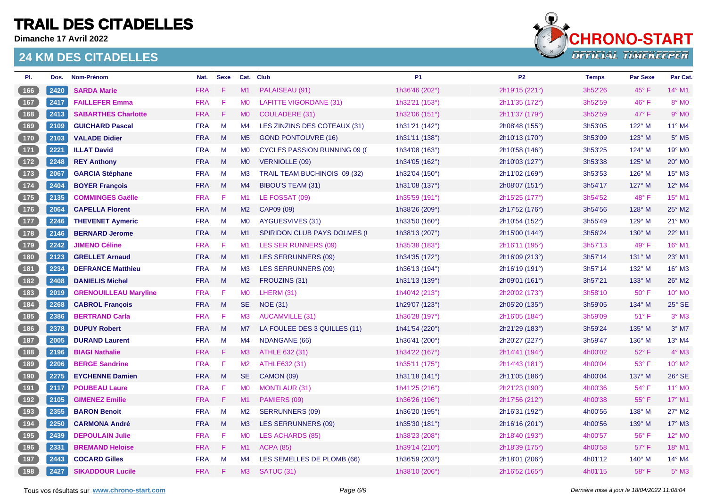**Dimanche 17 Avril 2022**



| PI.                                        | Dos. | Nom-Prénom                   | Nat.       | <b>Sexe</b> |                | Cat. Club                            | <b>P1</b>      | P <sub>2</sub> | <b>Temps</b> | <b>Par Sexe</b> | Par Cat.                 |
|--------------------------------------------|------|------------------------------|------------|-------------|----------------|--------------------------------------|----------------|----------------|--------------|-----------------|--------------------------|
| 166                                        | 2420 | <b>SARDA Marie</b>           | <b>FRA</b> | F           | M1             | PALAISEAU (91)                       | 1h36'46 (202°) | 2h19'15 (221°) | 3h52'26      | 45° F           | 14° M1                   |
| [167]                                      | 2417 | <b>FAILLEFER Emma</b>        | <b>FRA</b> | F           | M <sub>0</sub> | <b>LAFITTE VIGORDANE (31)</b>        | 1h32'21 (153°) | 2h11'35 (172°) | 3h52'59      | $46^{\circ}$ F  | 8° MO                    |
| 168                                        | 2413 | <b>SABARTHES Charlotte</b>   | <b>FRA</b> | F.          | M <sub>0</sub> | <b>COULADERE (31)</b>                | 1h32'06 (151°) | 2h11'37 (179°) | 3h52'59      | $47^\circ$ F    | $9°$ M <sub>0</sub>      |
| 169                                        | 2109 | <b>GUICHARD Pascal</b>       | <b>FRA</b> | M           | M4             | LES ZINZINS DES COTEAUX (31)         | 1h31'21 (142°) | 2h08'48 (155°) | 3h53'05      | 122° M          | 11° M4                   |
| $170$                                      | 2103 | <b>VALADE Didier</b>         | <b>FRA</b> | M           | M <sub>5</sub> | <b>GOND PONTOUVRE (16)</b>           | 1h31'11 (138°) | 2h10'13 (170°) | 3h53'09      | 123° M          | $5^\circ$ M <sub>5</sub> |
| $\begin{array}{c} \boxed{171} \end{array}$ | 2221 | <b>ILLAT David</b>           | <b>FRA</b> | M           | M <sub>0</sub> | <b>CYCLES PASSION RUNNING 09 (C)</b> | 1h34'08 (163°) | 2h10'58 (146°) | 3h53'25      | 124° M          | 19° M0                   |
| 172                                        | 2248 | <b>REY Anthony</b>           | <b>FRA</b> | M           | <b>MO</b>      | <b>VERNIOLLE (09)</b>                | 1h34'05 (162°) | 2h10'03 (127°) | 3h53'38      | 125° M          | 20° M <sub>0</sub>       |
| $173$                                      | 2067 | <b>GARCIA Stéphane</b>       | <b>FRA</b> | M           | MЗ             | TRAIL TEAM BUCHINOIS 09 (32)         | 1h32'04 (150°) | 2h11'02 (169°) | 3h53'53      | $126^\circ$ M   | $15^\circ$ M3            |
| $174$                                      | 2404 | <b>BOYER François</b>        | <b>FRA</b> | M           | M4             | <b>BIBOU'S TEAM (31)</b>             | 1h31'08 (137°) | 2h08'07 (151°) | 3h54'17      | $127^\circ$ M   | 12° M4                   |
| $175$                                      | 2135 | <b>COMMINGES Gaëlle</b>      | <b>FRA</b> | F           | M1             | LE FOSSAT (09)                       | 1h35'59 (191°) | 2h15'25 (177°) | 3h54'52      | 48°F            | 15° M1                   |
| 176                                        | 2064 | <b>CAPELLA Florent</b>       | <b>FRA</b> | M           | M2             | CAP09 (09)                           | 1h38'26 (209°) | 2h17'52 (176°) | 3h54'56      | 128° M          | 25° M2                   |
| $177$                                      | 2246 | <b>THEVENET Aymeric</b>      | <b>FRA</b> | M           | M0             | AYGUESVIVES (31)                     | 1h33'50 (160°) | 2h10'54 (152°) | 3h55'49      | $129^\circ$ M   | 21° M0                   |
| (178)                                      | 2146 | <b>BERNARD Jerome</b>        | <b>FRA</b> | M           | M1             | <b>SPIRIDON CLUB PAYS DOLMES (I)</b> | 1h38'13 (207°) | 2h15'00 (144°) | 3h56'24      | $130^\circ$ M   | 22° M1                   |
| $179$                                      | 2242 | <b>JIMENO Céline</b>         | <b>FRA</b> | F           | M <sub>1</sub> | LES SER RUNNERS (09)                 | 1h35'38 (183°) | 2h16'11 (195°) | 3h57'13      | 49° F           | 16° M1                   |
| (180)                                      | 2123 | <b>GRELLET Arnaud</b>        | <b>FRA</b> | M           | M1             | <b>LES SERRUNNERS (09)</b>           | 1h34'35 (172°) | 2h16'09 (213°) | 3h57'14      | $131^\circ$ M   | 23° M1                   |
| $\begin{array}{c} \boxed{181} \end{array}$ | 2234 | <b>DEFRANCE Matthieu</b>     | <b>FRA</b> | M           | M <sub>3</sub> | <b>LES SERRUNNERS (09)</b>           | 1h36'13 (194°) | 2h16'19 (191°) | 3h57'14      | 132° M          | 16° M3                   |
| $\boxed{182}$                              | 2408 | <b>DANIELIS Michel</b>       | <b>FRA</b> | M           | M2             | FROUZINS (31)                        | 1h31'13 (139°) | 2h09'01 (161°) | 3h57'21      | $133^\circ$ M   | 26° M2                   |
| $183$                                      | 2019 | <b>GRENOUILLEAU Maryline</b> | <b>FRA</b> | F           | M <sub>0</sub> | LHERM (31)                           | 1h40'42 (213°) | 2h20'02 (173°) | 3h58'10      | $50^\circ$ F    | 10° M0                   |
| (184)                                      | 2268 | <b>CABROL François</b>       | <b>FRA</b> | M           | <b>SE</b>      | <b>NOE (31)</b>                      | 1h29'07 (123°) | 2h05'20 (135°) | 3h59'05      | 134° M          | 25° SE                   |
| 185                                        | 2386 | <b>BERTRAND Carla</b>        | <b>FRA</b> | F           | M3             | <b>AUCAMVILLE (31)</b>               | 1h36'28 (197°) | 2h16'05 (184°) | 3h59'09      | $51^{\circ}$ F  | $3°$ M3                  |
| (186)                                      | 2378 | <b>DUPUY Robert</b>          | <b>FRA</b> | M           | M7             | LA FOULEE DES 3 QUILLES (11)         | 1h41'54 (220°) | 2h21'29 (183°) | 3h59'24      | $135^\circ$ M   | $3°$ M7                  |
| $\boxed{187}$                              | 2005 | <b>DURAND Laurent</b>        | <b>FRA</b> | M           | M4             | NDANGANE (66)                        | 1h36'41 (200°) | 2h20'27 (227°) | 3h59'47      | $136^\circ$ M   | 13° M4                   |
| $\boxed{188}$                              | 2196 | <b>BIAGI Nathalie</b>        | <b>FRA</b> | F           | M3             | ATHLE 632 (31)                       | 1h34'22 (167°) | 2h14'41 (194°) | 4h00'02      | $52^{\circ}$ F  | $4^\circ$ M3             |
| $189$                                      | 2206 | <b>BERGE Sandrine</b>        | <b>FRA</b> | F           | M <sub>2</sub> | ATHLE632 (31)                        | 1h35'11 (175°) | 2h14'43 (181°) | 4h00'04      | 53° F           | 10° M2                   |
| (190)                                      | 2275 | <b>EYCHENNE Damien</b>       | <b>FRA</b> | M           | <b>SE</b>      | <b>CAMON (09)</b>                    | 1h31'18 (141°) | 2h11'05 (186°) | 4h00'04      | 137° M          | 26° SE                   |
| (191)                                      | 2117 | <b>POUBEAU Laure</b>         | <b>FRA</b> | F           | M <sub>0</sub> | <b>MONTLAUR (31)</b>                 | 1h41'25 (216°) | 2h21'23 (190°) | 4h00'36      | 54°F            | 11° M0                   |
| $\boxed{192}$                              | 2105 | <b>GIMENEZ Emilie</b>        | <b>FRA</b> | F           | M1             | PAMIERS (09)                         | 1h36'26 (196°) | 2h17'56 (212°) | 4h00'38      | $55^{\circ}$ F  | 17° M1                   |
| $\begin{array}{c} \boxed{193} \end{array}$ | 2355 | <b>BARON Benoit</b>          | <b>FRA</b> | M           | M2             | <b>SERRUNNERS (09)</b>               | 1h36'20 (195°) | 2h16'31 (192°) | 4h00'56      | 138° M          | 27° M2                   |
| (194)                                      | 2250 | <b>CARMONA André</b>         | <b>FRA</b> | M           | M3             | <b>LES SERRUNNERS (09)</b>           | 1h35'30 (181°) | 2h16'16 (201°) | 4h00'56      | 139° M          | 17° M3                   |
| (195)                                      | 2439 | <b>DEPOULAIN Julie</b>       | <b>FRA</b> | F           | MO             | LES ACHARDS (85)                     | 1h38'23 (208°) | 2h18'40 (193°) | 4h00'57      | $56^{\circ}$ F  | 12° MO                   |
| (196)                                      | 2331 | <b>BREMAND Heloise</b>       | <b>FRA</b> | F           | M1             | <b>ACPA (85)</b>                     | 1h39'14 (210°) | 2h18'39 (175°) | 4h00'58      | $57^\circ$ F    | 18° M1                   |
| 197                                        | 2443 | <b>COCARD Gilles</b>         | <b>FRA</b> | M           | M <sub>4</sub> | LES SEMELLES DE PLOMB (66)           | 1h36'59 (203°) | 2h18'01 (206°) | 4h01'12      | 140° M          | 14° M4                   |
| (198)                                      | 2427 | <b>SIKADDOUR Lucile</b>      | <b>FRA</b> | F.          | M3             | SATUC (31)                           | 1h38'10 (206°) | 2h16'52 (165°) | 4h01'15      | $58^{\circ}$ F  | $5^\circ$ M3             |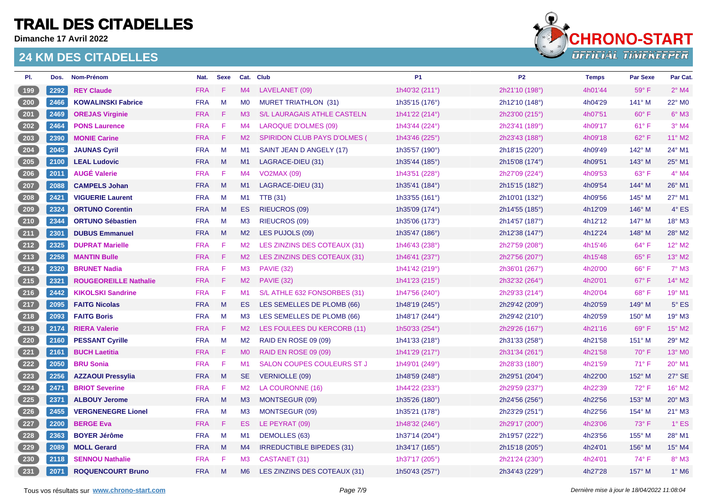**Dimanche 17 Avril 2022**



| PI.             | Dos. | Nom-Prénom                   | Nat.       | <b>Sexe</b>            |                | Cat. Club                           | <b>P1</b>      | P <sub>2</sub> | <b>Temps</b> | <b>Par Sexe</b> | Par Cat.      |
|-----------------|------|------------------------------|------------|------------------------|----------------|-------------------------------------|----------------|----------------|--------------|-----------------|---------------|
| (199)           | 2292 | <b>REY Claude</b>            | <b>FRA</b> | F                      | M4             | LAVELANET (09)                      | 1h40'32 (211°) | 2h21'10 (198°) | 4h01'44      | 59°F            | $2°$ M4       |
| $\sqrt{200}$    | 2466 | <b>KOWALINSKI Fabrice</b>    | <b>FRA</b> | M                      | M <sub>0</sub> | <b>MURET TRIATHLON (31)</b>         | 1h35'15 (176°) | 2h12'10 (148°) | 4h04'29      | 141° M          | 22° M0        |
| 201             | 2469 | <b>OREJAS Virginie</b>       | <b>FRA</b> | -F                     | M3             | S/L LAURAGAIS ATHLE CASTELN.        | 1h41'22 (214°) | 2h23'00 (215°) | 4h07'51      | $60^\circ$ F    | $6^\circ$ M3  |
| $202$           | 2464 | <b>PONS Laurence</b>         | <b>FRA</b> | F                      | M4             | LAROQUE D'OLMES (09)                | 1h43'44 (224°) | 2h23'41 (189°) | 4h09'17      | $61^{\circ}$ F  | $3°$ M4       |
| 203             | 2390 | <b>MONIE Carine</b>          | <b>FRA</b> | -F                     | M2             | <b>SPIRIDON CLUB PAYS D'OLMES (</b> | 1h43'46 (225°) | 2h23'43 (188°) | 4h09'18      | 62°F            | 11° M2        |
| 204             | 2045 | <b>JAUNAS Cyril</b>          | <b>FRA</b> | M                      | M1             | SAINT JEAN D ANGELY (17)            | 1h35'57 (190°) | 2h18'15 (220°) | 4h09'49      | 142° M          | 24° M1        |
| $\sqrt{205}$    | 2100 | <b>LEAL Ludovic</b>          | <b>FRA</b> | M                      | M1             | LAGRACE-DIEU (31)                   | 1h35'44 (185°) | 2h15'08 (174°) | 4h09'51      | 143° M          | 25° M1        |
| 206             | 2011 | <b>AUGÉ Valerie</b>          | <b>FRA</b> | -F                     | M4             | <b>VO2MAX (09)</b>                  | 1h43'51 (228°) | 2h27'09 (224°) | 4h09'53      | $63^\circ$ F    | $4^\circ$ M4  |
| 207             | 2088 | <b>CAMPELS Johan</b>         | <b>FRA</b> | M                      | M1             | LAGRACE-DIEU (31)                   | 1h35'41 (184°) | 2h15'15 (182°) | 4h09'54      | $144^\circ$ M   | 26° M1        |
| $208$           | 2421 | <b>VIGUERIE Laurent</b>      | <b>FRA</b> | M                      | M1             | <b>TTB</b> (31)                     | 1h33'55 (161°) | 2h10'01 (132°) | 4h09'56      | 145° M          | 27° M1        |
| (209)           | 2324 | <b>ORTUNO Corentin</b>       | <b>FRA</b> | M                      | ES.            | <b>RIEUCROS (09)</b>                | 1h35'09 (174°) | 2h14'55 (185°) | 4h12'09      | $146^\circ$ M   | $4^\circ$ ES  |
| $210$           | 2344 | <b>ORTUNO Sébastien</b>      | <b>FRA</b> | M                      | M <sub>3</sub> | RIEUCROS (09)                       | 1h35'06 (173°) | 2h14'57 (187°) | 4h12'12      | 147° M          | 18° M3        |
| (211)           | 2301 | <b>DUBUS Emmanuel</b>        | <b>FRA</b> | M                      | M2             | LES PUJOLS (09)                     | 1h35'47 (186°) | 2h12'38 (147°) | 4h12'24      | $148^\circ$ M   | 28° M2        |
| 212             | 2325 | <b>DUPRAT Marielle</b>       | <b>FRA</b> | -F                     | M2             | LES ZINZINS DES COTEAUX (31)        | 1h46'43 (238°) | 2h27'59 (208°) | 4h15'46      | 64°F            | 12° M2        |
| (213)           | 2258 | <b>MANTIN Bulle</b>          | <b>FRA</b> | -F                     | M2             | LES ZINZINS DES COTEAUX (31)        | 1h46'41 (237°) | 2h27'56 (207°) | 4h15'48      | 65°F            | 13° M2        |
| $\frac{214}{ }$ | 2320 | <b>BRUNET Nadia</b>          | <b>FRA</b> | F                      | M3             | <b>PAVIE (32)</b>                   | 1h41'42 (219°) | 2h36'01 (267°) | 4h20'00      | 66°F            | $7°$ M3       |
| $\boxed{215}$   | 2321 | <b>ROUGEOREILLE Nathalie</b> | <b>FRA</b> | -F                     | M2             | <b>PAVIE (32)</b>                   | 1h41'23 (215°) | 2h32'32 (264°) | 4h20'01      | 67°F            | 14° M2        |
| (216)           | 2442 | <b>KIKOLSKI Sandrine</b>     | <b>FRA</b> | -F                     | M <sub>1</sub> | S/L ATHLE 632 FONSORBES (31)        | 1h47'56 (240°) | 2h29'33 (214°) | 4h20'04      | 68°F            | 19° M1        |
| (217)           | 2095 | <b>FAITG Nicolas</b>         | <b>FRA</b> | M                      | ES.            | LES SEMELLES DE PLOMB (66)          | 1h48'19 (245°) | 2h29'42 (209°) | 4h20'59      | 149° M          | $5^\circ$ ES  |
| $218$           | 2093 | <b>FAITG Boris</b>           | <b>FRA</b> | M                      | M <sub>3</sub> | LES SEMELLES DE PLOMB (66)          | 1h48'17 (244°) | 2h29'42 (210°) | 4h20'59      | $150^\circ$ M   | 19° M3        |
| (219)           | 2174 | <b>RIERA Valerie</b>         | <b>FRA</b> | -F                     | M2             | LES FOULEES DU KERCORB (11)         | 1h50'33 (254°) | 2h29'26 (167°) | 4h21'16      | 69°F            | 15° M2        |
| $220$           | 2160 | <b>PESSANT Cyrille</b>       | <b>FRA</b> | M                      | M <sub>2</sub> | <b>RAID EN ROSE 09 (09)</b>         | 1h41'33 (218°) | 2h31'33 (258°) | 4h21'58      | 151° M          | 29° M2        |
| 221             | 2161 | <b>BUCH Laetitia</b>         | <b>FRA</b> | -F                     | <b>MO</b>      | <b>RAID EN ROSE 09 (09)</b>         | 1h41'29 (217°) | 2h31'34 (261°) | 4h21'58      | $70^\circ$ F    | 13° MO        |
| 222             | 2050 | <b>BRU Sonia</b>             | <b>FRA</b> | -F                     | M <sub>1</sub> | SALON COUPES COULEURS ST J          | 1h49'01 (249°) | 2h28'33 (180°) | 4h21'59      | $71^{\circ}$ F  | 20° M1        |
| 223             | 2256 | <b>AZZAOUI Pressylia</b>     | <b>FRA</b> | M                      | <b>SE</b>      | <b>VERNIOLLE (09)</b>               | 1h48'59 (248°) | 2h29'51 (204°) | 4h22'00      | 152° M          | 27° SE        |
| 224             | 2471 | <b>BRIOT Severine</b>        | <b>FRA</b> | $\mid \mathsf{F} \mid$ | M2             | LA COURONNE (16)                    | 1h44'22 (233°) | 2h29'59 (237°) | 4h22'39      | 72°F            | 16° M2        |
| $225$           | 2371 | <b>ALBOUY Jerome</b>         | <b>FRA</b> | M                      | M3             | MONTSEGUR (09)                      | 1h35'26 (180°) | 2h24'56 (256°) | 4h22'56      | 153° M          | $20^\circ$ M3 |
| $226$           | 2455 | <b>VERGNENEGRE Lionel</b>    | <b>FRA</b> | M                      | M3             | MONTSEGUR (09)                      | 1h35'21 (178°) | 2h23'29 (251°) | 4h22'56      | $154^\circ$ M   | $21^\circ$ M3 |
| 227             | 2200 | <b>BERGE Eva</b>             | <b>FRA</b> | -F                     | ES.            | LE PEYRAT (09)                      | 1h48'32 (246°) | 2h29'17 (200°) | 4h23'06      | 73° F           | $1^\circ$ ES  |
| $228$           | 2363 | <b>BOYER Jérôme</b>          | <b>FRA</b> | M                      | M1             | <b>DEMOLLES (63)</b>                | 1h37'14 (204°) | 2h19'57 (222°) | 4h23'56      | 155° M          | 28° M1        |
| 229             | 2089 | <b>MOLL Gerard</b>           | <b>FRA</b> | M                      | M4             | <b>IRREDUCTIBLE BIPEDES (31)</b>    | 1h34'17 (165°) | 2h15'18 (205°) | 4h24'01      | 156° M          | 15° M4        |
| $230$           | 2118 | <b>SENNOU Nathalie</b>       | <b>FRA</b> | F                      | M3             | CASTANET (31)                       | 1h37'17 (205°) | 2h21'24 (230°) | 4h24'01      | 74°F            | 8° M3         |
| 231             | 2071 | <b>ROQUENCOURT Bruno</b>     | <b>FRA</b> | M                      | M <sub>6</sub> | LES ZINZINS DES COTEAUX (31)        | 1h50'43 (257°) | 2h34'43 (229°) | 4h27'28      | 157° M          | $1^\circ$ M6  |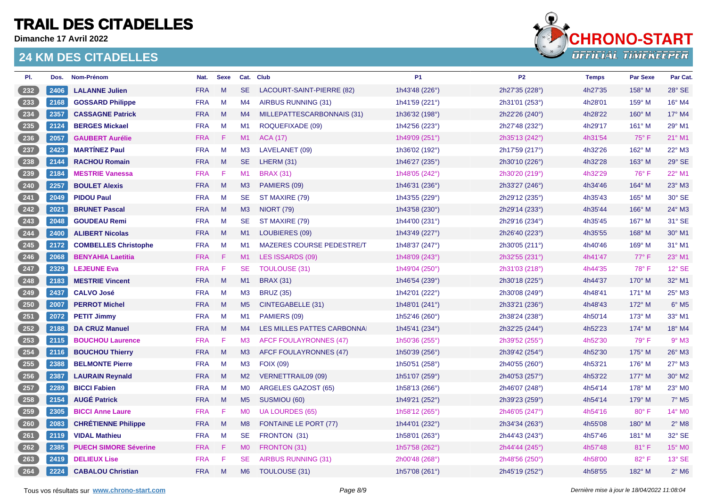**Dimanche 17 Avril 2022**



| PI.                | Dos. | Nom-Prénom                   | Nat.       | <b>Sexe</b> |                | Cat. Club                        | <b>P1</b>      | P <sub>2</sub> | <b>Temps</b> | Par Sexe      | Par Cat.                   |
|--------------------|------|------------------------------|------------|-------------|----------------|----------------------------------|----------------|----------------|--------------|---------------|----------------------------|
| 232                | 2406 | <b>LALANNE Julien</b>        | <b>FRA</b> | M           | <b>SE</b>      | LACOURT-SAINT-PIERRE (82)        | 1h43'48 (226°) | 2h27'35 (228°) | 4h27'35      | $158^\circ$ M | 28° SE                     |
| $233$              | 2168 | <b>GOSSARD Philippe</b>      | <b>FRA</b> | M           | M4             | AIRBUS RUNNING (31)              | 1h41'59 (221°) | 2h31'01 (253°) | 4h28'01      | 159° M        | 16° M4                     |
| $\frac{234}{ }$    | 2357 | <b>CASSAGNE Patrick</b>      | <b>FRA</b> | M           | M4             | MILLEPATTESCARBONNAIS (31)       | 1h36'32 (198°) | 2h22'26 (240°) | 4h28'22      | 160° M        | 17° M4                     |
| $235$              | 2124 | <b>BERGES Mickael</b>        | <b>FRA</b> | M           | M1             | ROQUEFIXADE (09)                 | 1h42'56 (223°) | 2h27'48 (232°) | 4h29'17      | 161° M        | 29° M1                     |
| $\frac{236}{ }$    | 2057 | <b>GAUBERT Aurélie</b>       | <b>FRA</b> | -F.         | M1             | <b>ACA (17)</b>                  | 1h49'09 (251°) | 2h35'13 (242°) | 4h31'54      | 75°F          | 21° M1                     |
| $237$              | 2423 | <b>MARTÍNEZ Paul</b>         | <b>FRA</b> | M           | M <sub>3</sub> | LAVELANET (09)                   | 1h36'02 (192°) | 2h17'59 (217°) | 4h32'26      | 162° M        | 22° M3                     |
| $\overline{238}$   | 2144 | <b>RACHOU Romain</b>         | <b>FRA</b> | M           | <b>SE</b>      | LHERM (31)                       | 1h46'27 (235°) | 2h30'10 (226°) | 4h32'28      | $163^\circ$ M | 29° SE                     |
| 239                | 2184 | <b>MESTRIE Vanessa</b>       | <b>FRA</b> | F.          | M1             | <b>BRAX (31)</b>                 | 1h48'05 (242°) | 2h30'20 (219°) | 4h32'29      | 76°F          | 22° M1                     |
| 240                | 2257 | <b>BOULET Alexis</b>         | <b>FRA</b> | M           | M3             | PAMIERS (09)                     | 1h46'31 (236°) | 2h33'27 (246°) | 4h34'46      | 164° M        | 23° M3                     |
| 241                | 2049 | <b>PIDOU Paul</b>            | <b>FRA</b> | M           | <b>SE</b>      | ST MAXIRE (79)                   | 1h43'55 (229°) | 2h29'12 (235°) | 4h35'43      | 165° M        | 30° SE                     |
| $\frac{242}{ }$    | 2021 | <b>BRUNET Pascal</b>         | <b>FRA</b> | M           | M3             | <b>NIORT (79)</b>                | 1h43'58 (230°) | 2h29'14 (233°) | 4h35'44      | $166^\circ$ M | 24° M3                     |
| $243$              | 2048 | <b>GOUDEAU Remi</b>          | <b>FRA</b> | M           | <b>SE</b>      | ST MAXIRE (79)                   | 1h44'00 (231°) | 2h29'16 (234°) | 4h35'45      | 167° M        | 31° SE                     |
| $\frac{244}{ }$    | 2400 | <b>ALIBERT Nicolas</b>       | <b>FRA</b> | M           | M1             | LOUBIERES (09)                   | 1h43'49 (227°) | 2h26'40 (223°) | 4h35'55      | 168° M        | 30° M1                     |
| $245$              | 2172 | <b>COMBELLES Christophe</b>  | <b>FRA</b> | M           | M1             | <b>MAZERES COURSE PEDESTRE/T</b> | 1h48'37 (247°) | 2h30'05 (211°) | 4h40'46      | 169° M        | 31° M1                     |
| $246$              | 2068 | <b>BENYAHIA Laetitia</b>     | <b>FRA</b> | -F.         | M1             | LES ISSARDS (09)                 | 1h48'09 (243°) | 2h32'55 (231°) | 4h41'47      | 77° F         | 23° M1                     |
| 247                | 2329 | <b>LEJEUNE Eva</b>           | <b>FRA</b> | F           | <b>SE</b>      | TOULOUSE (31)                    | 1h49'04 (250°) | 2h31'03 (218°) | 4h44'35      | 78°F          | 12° SE                     |
| $\left(248\right)$ | 2183 | <b>MESTRIE Vincent</b>       | <b>FRA</b> | M           | M1             | <b>BRAX (31)</b>                 | 1h46'54 (239°) | 2h30'18 (225°) | 4h44'37      | 170° M        | 32° M1                     |
| $249$              | 2437 | <b>CALVO José</b>            | <b>FRA</b> | M           | M3             | <b>BRUZ (35)</b>                 | 1h42'01 (222°) | 2h30'08 (249°) | 4h48'41      | $171^\circ$ M | 25° M3                     |
| $\overline{250}$   | 2007 | <b>PERROT Michel</b>         | <b>FRA</b> | M           | M <sub>5</sub> | CINTEGABELLE (31)                | 1h48'01 (241°) | 2h33'21 (236°) | 4h48'43      | 172° M        | $6^\circ$ M <sub>5</sub>   |
| 251                | 2072 | <b>PETIT Jimmy</b>           | <b>FRA</b> | M           | M1             | PAMIERS (09)                     | 1h52'46 (260°) | 2h38'24 (238°) | 4h50'14      | 173° M        | 33° M1                     |
| 252                | 2188 | <b>DA CRUZ Manuel</b>        | <b>FRA</b> | M           | M4             | LES MILLES PATTES CARBONNAI      | 1h45'41 (234°) | 2h32'25 (244°) | 4h52'23      | 174° M        | 18° M4                     |
| $253$              | 2115 | <b>BOUCHOU Laurence</b>      | <b>FRA</b> | F           | M <sub>3</sub> | <b>AFCF FOULAYRONNES (47)</b>    | 1h50'36 (255°) | 2h39'52 (255°) | 4h52'30      | 79° F         | $9°$ M3                    |
| $\frac{254}{ }$    | 2116 | <b>BOUCHOU Thierry</b>       | <b>FRA</b> | M           | M3             | AFCF FOULAYRONNES (47)           | 1h50'39 (256°) | 2h39'42 (254°) | 4h52'30      | 175° M        | 26° M3                     |
| $255$              | 2388 | <b>BELMONTE Pierre</b>       | <b>FRA</b> | M           | M <sub>3</sub> | <b>FOIX (09)</b>                 | 1h50'51 (258°) | 2h40'55 (260°) | 4h53'21      | $176^\circ$ M | 27° M3                     |
| 256                | 2387 | <b>LAURAIN Reynald</b>       | <b>FRA</b> | M           | M2             | VERNETTRAIL09 (09)               | 1h51'07 (259°) | 2h40'53 (257°) | 4h53'22      | $177^\circ$ M | 30° M2                     |
| $257$              | 2289 | <b>BICCI Fabien</b>          | <b>FRA</b> | M           | M0             | ARGELES GAZOST (65)              | 1h58'13 (266°) | 2h46'07 (248°) | 4h54'14      | 178° M        | 23° MO                     |
| $\frac{258}{ }$    | 2154 | <b>AUGÉ Patrick</b>          | <b>FRA</b> | M           | M <sub>5</sub> | SUSMIOU (60)                     | 1h49'21 (252°) | 2h39'23 (259°) | 4h54'14      | 179° M        | $7°$ M <sub>5</sub>        |
| $259$              | 2305 | <b>BICCI Anne Laure</b>      | <b>FRA</b> | F           | <b>MO</b>      | <b>UA LOURDES (65)</b>           | 1h58'12 (265°) | 2h46'05 (247°) | 4h54'16      | 80° F         | 14° MO                     |
| $\sqrt{260}$       | 2083 | <b>CHRÉTIENNE Philippe</b>   | <b>FRA</b> | M           | M8             | <b>FONTAINE LE PORT (77)</b>     | 1h44'01 (232°) | 2h34'34 (263°) | 4h55'08      | $180^\circ$ M | $2^{\circ}$ M <sub>8</sub> |
| 261                | 2119 | <b>VIDAL Mathieu</b>         | <b>FRA</b> | M           | <b>SE</b>      | FRONTON (31)                     | 1h58'01 (263°) | 2h44'43 (243°) | 4h57'46      | 181° M        | 32° SE                     |
| 262                | 2385 | <b>PUECH SIMORE Séverine</b> | <b>FRA</b> | $-F$        | M <sub>0</sub> | FRONTON (31)                     | 1h57'58 (262°) | 2h44'44 (245°) | 4h57'48      | 81°F          | 15° MO                     |
| $263$              | 2419 | <b>DELIEUX Lise</b>          | <b>FRA</b> | Æ           | <b>SE</b>      | AIRBUS RUNNING (31)              | 2h00'48 (268°) | 2h48'56 (250°) | 4h58'00      | 82° F         | 13° SE                     |
| $\left(264\right)$ | 2224 | <b>CABALOU Christian</b>     | <b>FRA</b> | M           | M <sub>6</sub> | TOULOUSE (31)                    | 1h57'08 (261°) | 2h45'19 (252°) | 4h58'55      | 182° M        | $2^{\circ}$ M6             |